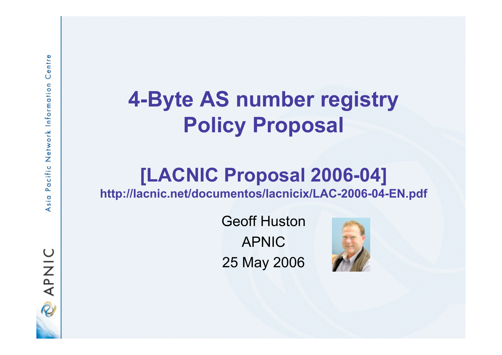## **4-Byte AS number registry Policy Proposal**

# **[LACNIC Proposal 2006-04]**

**http://lacnic.net/documentos/lacnicix/LAC-2006-04-EN.pdf**

Geoff Huston APNIC 25 May 2006



**DINAP**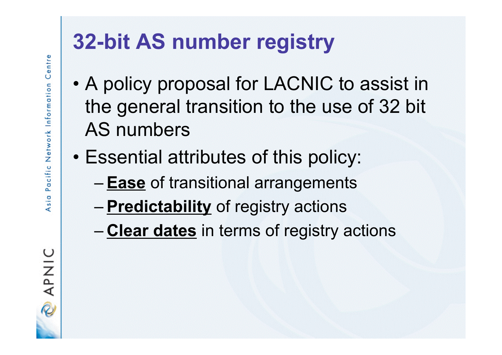OINA<br>Q

## **32-bit AS number registry**

- A policy proposal for LACNIC to assist in the general transition to the use of 32 bit AS numbers
- Essential attributes of this policy:
	- **Ease** of transitional arrangements
	- **Predictability** of registry actions
	- **Clear dates** in terms of registry actions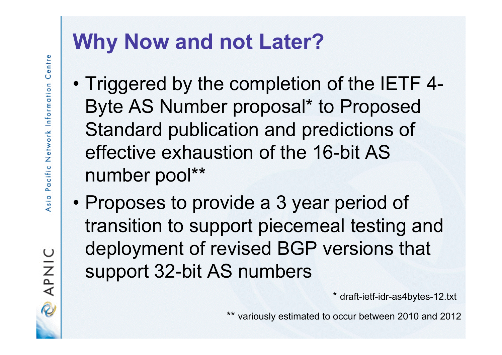## **Why Now and not Later?**

- Triggered by the completion of the IETF 4- Byte AS Number proposal\* to Proposed Standard publication and predictions of effective exhaustion of the 16-bit AS number pool\*\*
- Proposes to provide a 3 year period of transition to support piecemeal testing and deployment of revised BGP versions that support 32-bit AS numbers

\* draft-ietf-idr-as4bytes-12.txt

\*\* variously estimated to occur between 2010 and 2012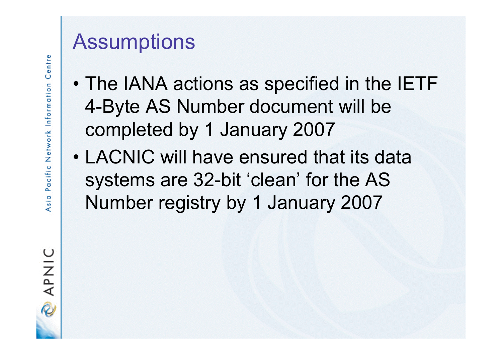#### **Assumptions**

- The IANA actions as specified in the IETF 4-Byte AS Number document will be completed by 1 January 2007
- LACNIC will have ensured that its data systems are 32-bit 'clean' for the AS Number registry by 1 January 2007

**DINAR**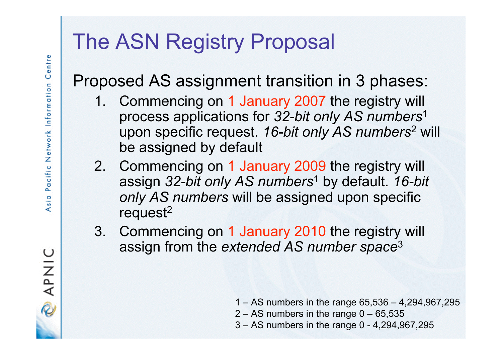### The ASN Registry Proposal

#### Proposed AS assignment transition in 3 phases:

- 1. Commencing on 1 January 2007 the registry will process applications for *32-bit only AS numbers*<sup>1</sup> upon specific request. *16-bit only AS numbers*<sup>2</sup> will be assigned by default
- 2. Commencing on 1 January 2009 the registry will assign *32-bit only AS numbers*<sup>1</sup> by default. *16-bit only AS numbers* will be assigned upon specific request<sup>2</sup>
- 3. Commencing on 1 January 2010 the registry will assign from the *extended AS number space*<sup>3</sup>

- 1 AS numbers in the range 65,536 4,294,967,295
- $2 AS$  numbers in the range  $0 65,535$
- 3 AS numbers in the range 0 4,294,967,295

**DINAP**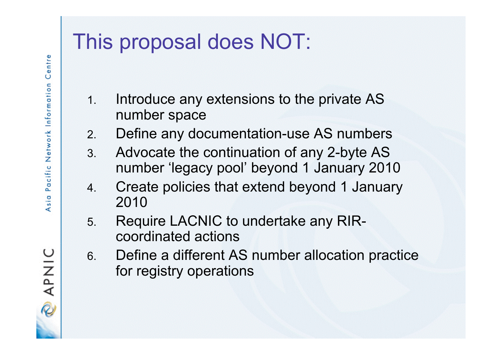### This proposal does NOT:

- 1. Introduce any extensions to the private AS number space
- 2. Define any documentation-use AS numbers
- 3. Advocate the continuation of any 2-byte AS number 'legacy pool' beyond 1 January 2010
- 4. Create policies that extend beyond 1 January 2010
- 5. Require LACNIC to undertake any RIRcoordinated actions
- 6. Define a different AS number allocation practice for registry operations

**SINGY**